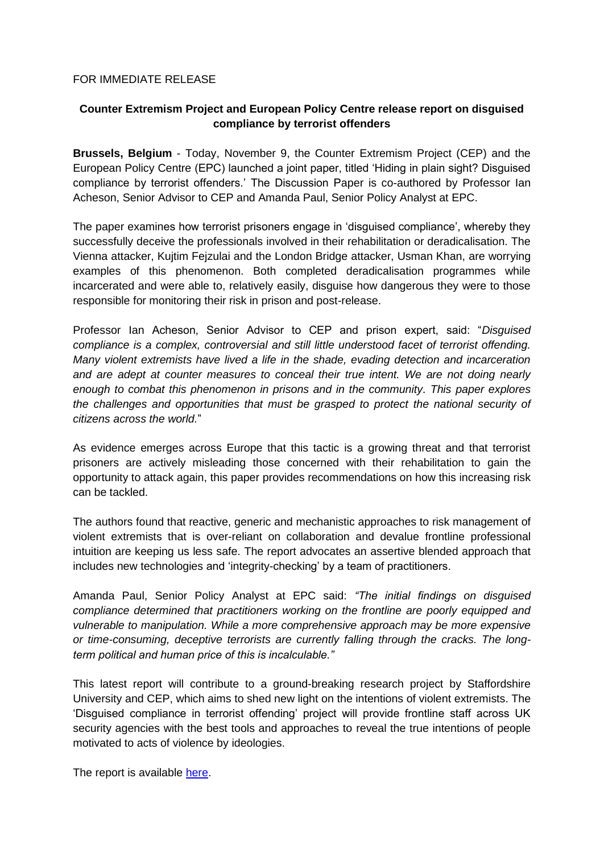## FOR IMMEDIATE RELEASE

## **Counter Extremism Project and European Policy Centre release report on disguised compliance by terrorist offenders**

**Brussels, Belgium** - Today, November 9, the Counter Extremism Project (CEP) and the European Policy Centre (EPC) launched a joint paper, titled 'Hiding in plain sight? Disguised compliance by terrorist offenders.' The Discussion Paper is co-authored by Professor Ian Acheson, Senior Advisor to CEP and Amanda Paul, Senior Policy Analyst at EPC.

The paper examines how terrorist prisoners engage in 'disguised compliance', whereby they successfully deceive the professionals involved in their rehabilitation or deradicalisation. The Vienna attacker, Kujtim Fejzulai and the London Bridge attacker, Usman Khan, are worrying examples of this phenomenon. Both completed deradicalisation programmes while incarcerated and were able to, relatively easily, disguise how dangerous they were to those responsible for monitoring their risk in prison and post-release.

Professor Ian Acheson, Senior Advisor to CEP and prison expert, said: "*Disguised compliance is a complex, controversial and still little understood facet of terrorist offending. Many violent extremists have lived a life in the shade, evading detection and incarceration and are adept at counter measures to conceal their true intent. We are not doing nearly enough to combat this phenomenon in prisons and in the community. This paper explores the challenges and opportunities that must be grasped to protect the national security of citizens across the world.*"

As evidence emerges across Europe that this tactic is a growing threat and that terrorist prisoners are actively misleading those concerned with their rehabilitation to gain the opportunity to attack again, this paper provides recommendations on how this increasing risk can be tackled.

The authors found that reactive, generic and mechanistic approaches to risk management of violent extremists that is over-reliant on collaboration and devalue frontline professional intuition are keeping us less safe. The report advocates an assertive blended approach that includes new technologies and 'integrity-checking' by a team of practitioners.

Amanda Paul, Senior Policy Analyst at EPC said: *"The initial findings on disguised compliance determined that practitioners working on the frontline are poorly equipped and vulnerable to manipulation. While a more comprehensive approach may be more expensive or time-consuming, deceptive terrorists are currently falling through the cracks. The longterm political and human price of this is incalculable."*

This latest report will contribute to a ground-breaking research project by Staffordshire University and CEP, which aims to shed new light on the intentions of violent extremists. The 'Disguised compliance in terrorist offending' project will provide frontline staff across UK security agencies with the best tools and approaches to reveal the true intentions of people motivated to acts of violence by ideologies.

The report is available [here.](https://www.epc.eu/en/Publications/Hiding-in-plain-sight-Disguised-compliance-by-terrorist-offenders~43a468)